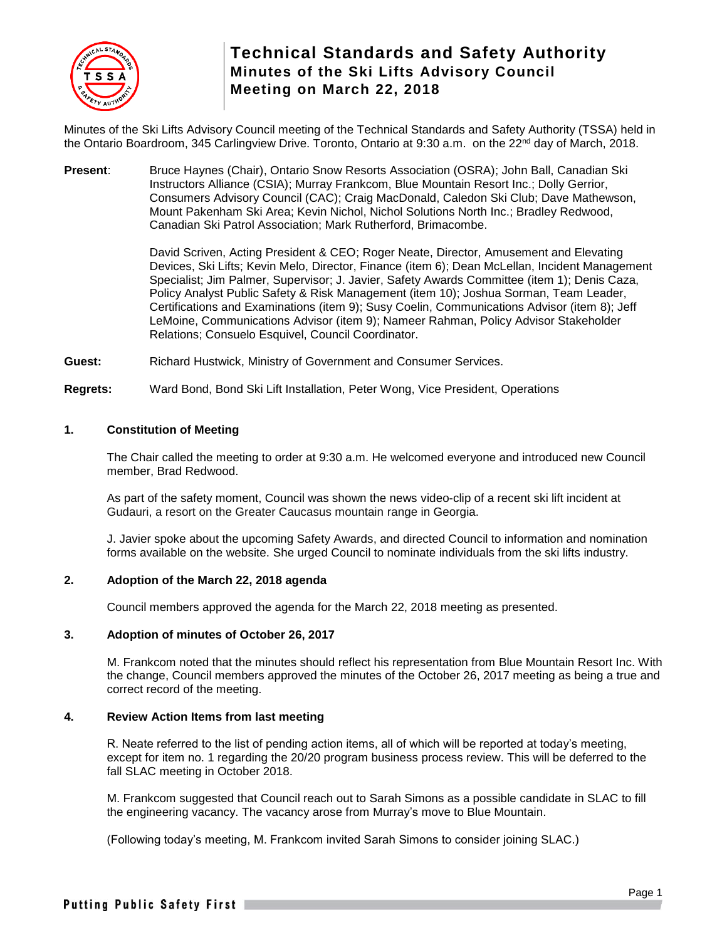

Minutes of the Ski Lifts Advisory Council meeting of the Technical Standards and Safety Authority (TSSA) held in the Ontario Boardroom, 345 Carlingview Drive. Toronto, Ontario at 9:30 a.m. on the 22<sup>nd</sup> day of March, 2018.

**Present**: Bruce Haynes (Chair), Ontario Snow Resorts Association (OSRA); John Ball, Canadian Ski Instructors Alliance (CSIA); Murray Frankcom, Blue Mountain Resort Inc.; Dolly Gerrior, Consumers Advisory Council (CAC); Craig MacDonald, Caledon Ski Club; Dave Mathewson, Mount Pakenham Ski Area; Kevin Nichol, Nichol Solutions North Inc.; Bradley Redwood, Canadian Ski Patrol Association; Mark Rutherford, Brimacombe.

> David Scriven, Acting President & CEO; Roger Neate, Director, Amusement and Elevating Devices, Ski Lifts; Kevin Melo, Director, Finance (item 6); Dean McLellan, Incident Management Specialist; Jim Palmer, Supervisor; J. Javier, Safety Awards Committee (item 1); Denis Caza, Policy Analyst Public Safety & Risk Management (item 10); Joshua Sorman, Team Leader, Certifications and Examinations (item 9); Susy Coelin, Communications Advisor (item 8); Jeff LeMoine, Communications Advisor (item 9); Nameer Rahman, Policy Advisor Stakeholder Relations; Consuelo Esquivel, Council Coordinator.

**Guest:** Richard Hustwick, Ministry of Government and Consumer Services.

**Regrets:** Ward Bond, Bond Ski Lift Installation, Peter Wong, Vice President, Operations

### **1. Constitution of Meeting**

The Chair called the meeting to order at 9:30 a.m. He welcomed everyone and introduced new Council member, Brad Redwood.

As part of the safety moment, Council was shown the news video-clip of a recent ski lift incident at Gudauri, a resort on the Greater Caucasus mountain range in Georgia.

J. Javier spoke about the upcoming Safety Awards, and directed Council to information and nomination forms available on the website. She urged Council to nominate individuals from the ski lifts industry.

#### **2. Adoption of the March 22, 2018 agenda**

Council members approved the agenda for the March 22, 2018 meeting as presented.

#### **3. Adoption of minutes of October 26, 2017**

M. Frankcom noted that the minutes should reflect his representation from Blue Mountain Resort Inc. With the change, Council members approved the minutes of the October 26, 2017 meeting as being a true and correct record of the meeting.

#### **4. Review Action Items from last meeting**

R. Neate referred to the list of pending action items, all of which will be reported at today's meeting, except for item no. 1 regarding the 20/20 program business process review. This will be deferred to the fall SLAC meeting in October 2018.

M. Frankcom suggested that Council reach out to Sarah Simons as a possible candidate in SLAC to fill the engineering vacancy. The vacancy arose from Murray's move to Blue Mountain.

(Following today's meeting, M. Frankcom invited Sarah Simons to consider joining SLAC.)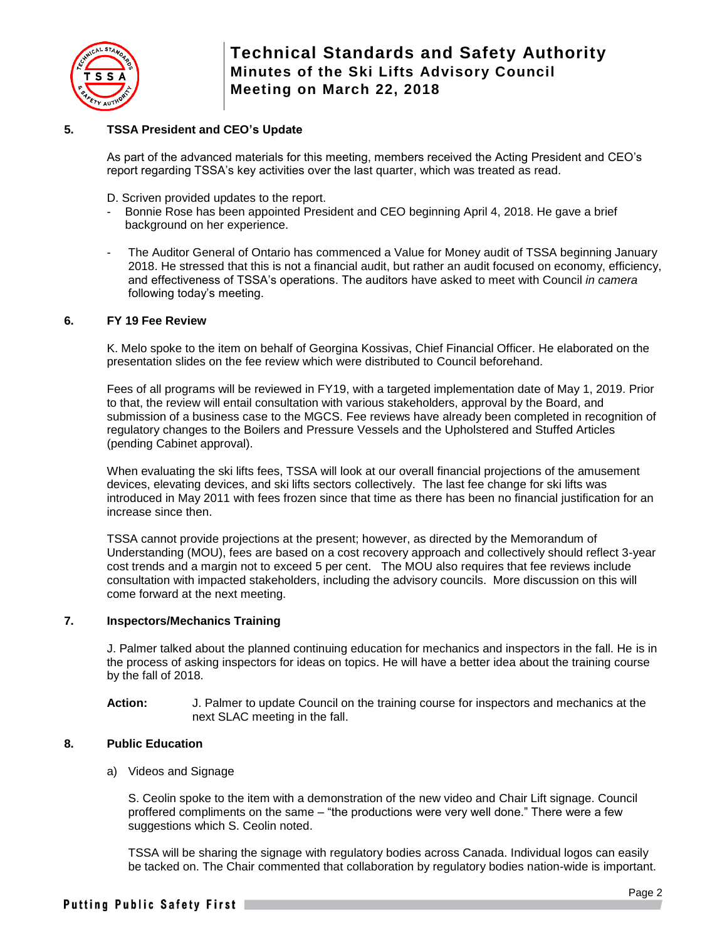

## **5. TSSA President and CEO's Update**

As part of the advanced materials for this meeting, members received the Acting President and CEO's report regarding TSSA's key activities over the last quarter, which was treated as read.

D. Scriven provided updates to the report.

- Bonnie Rose has been appointed President and CEO beginning April 4, 2018. He gave a brief background on her experience.
- The Auditor General of Ontario has commenced a Value for Money audit of TSSA beginning January 2018. He stressed that this is not a financial audit, but rather an audit focused on economy, efficiency, and effectiveness of TSSA's operations. The auditors have asked to meet with Council *in camera* following today's meeting.

### **6. FY 19 Fee Review**

K. Melo spoke to the item on behalf of Georgina Kossivas, Chief Financial Officer. He elaborated on the presentation slides on the fee review which were distributed to Council beforehand.

Fees of all programs will be reviewed in FY19, with a targeted implementation date of May 1, 2019. Prior to that, the review will entail consultation with various stakeholders, approval by the Board, and submission of a business case to the MGCS. Fee reviews have already been completed in recognition of regulatory changes to the Boilers and Pressure Vessels and the Upholstered and Stuffed Articles (pending Cabinet approval).

When evaluating the ski lifts fees, TSSA will look at our overall financial projections of the amusement devices, elevating devices, and ski lifts sectors collectively. The last fee change for ski lifts was introduced in May 2011 with fees frozen since that time as there has been no financial justification for an increase since then.

TSSA cannot provide projections at the present; however, as directed by the Memorandum of Understanding (MOU), fees are based on a cost recovery approach and collectively should reflect 3-year cost trends and a margin not to exceed 5 per cent. The MOU also requires that fee reviews include consultation with impacted stakeholders, including the advisory councils. More discussion on this will come forward at the next meeting.

### **7. Inspectors/Mechanics Training**

J. Palmer talked about the planned continuing education for mechanics and inspectors in the fall. He is in the process of asking inspectors for ideas on topics. He will have a better idea about the training course by the fall of 2018.

**Action:** J. Palmer to update Council on the training course for inspectors and mechanics at the next SLAC meeting in the fall.

## **8. Public Education**

a) Videos and Signage

S. Ceolin spoke to the item with a demonstration of the new video and Chair Lift signage. Council proffered compliments on the same – "the productions were very well done." There were a few suggestions which S. Ceolin noted.

TSSA will be sharing the signage with regulatory bodies across Canada. Individual logos can easily be tacked on. The Chair commented that collaboration by regulatory bodies nation-wide is important.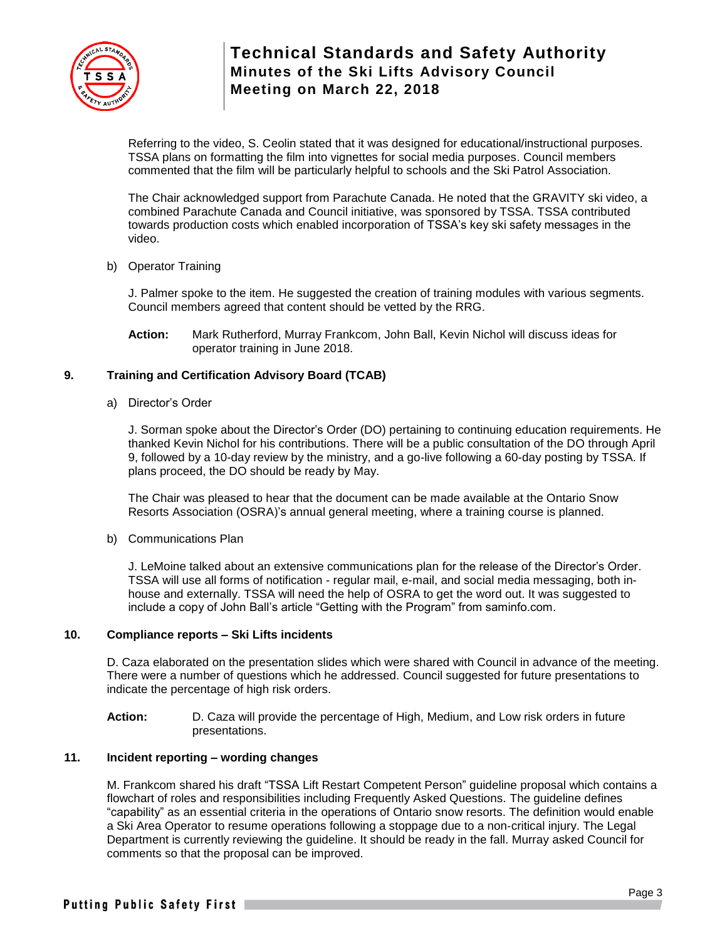

Referring to the video, S. Ceolin stated that it was designed for educational/instructional purposes. TSSA plans on formatting the film into vignettes for social media purposes. Council members commented that the film will be particularly helpful to schools and the Ski Patrol Association.

The Chair acknowledged support from Parachute Canada. He noted that the GRAVITY ski video, a combined Parachute Canada and Council initiative, was sponsored by TSSA. TSSA contributed towards production costs which enabled incorporation of TSSA's key ski safety messages in the video.

b) Operator Training

J. Palmer spoke to the item. He suggested the creation of training modules with various segments. Council members agreed that content should be vetted by the RRG.

**Action:** Mark Rutherford, Murray Frankcom, John Ball, Kevin Nichol will discuss ideas for operator training in June 2018.

## **9. Training and Certification Advisory Board (TCAB)**

a) Director's Order

J. Sorman spoke about the Director's Order (DO) pertaining to continuing education requirements. He thanked Kevin Nichol for his contributions. There will be a public consultation of the DO through April 9, followed by a 10-day review by the ministry, and a go-live following a 60-day posting by TSSA. If plans proceed, the DO should be ready by May.

The Chair was pleased to hear that the document can be made available at the Ontario Snow Resorts Association (OSRA)'s annual general meeting, where a training course is planned.

b) Communications Plan

J. LeMoine talked about an extensive communications plan for the release of the Director's Order. TSSA will use all forms of notification - regular mail, e-mail, and social media messaging, both inhouse and externally. TSSA will need the help of OSRA to get the word out. It was suggested to include a copy of John Ball's article "Getting with the Program" from saminfo.com.

## **10. Compliance reports – Ski Lifts incidents**

D. Caza elaborated on the presentation slides which were shared with Council in advance of the meeting. There were a number of questions which he addressed. Council suggested for future presentations to indicate the percentage of high risk orders.

**Action:** D. Caza will provide the percentage of High, Medium, and Low risk orders in future presentations.

### **11. Incident reporting – wording changes**

M. Frankcom shared his draft "TSSA Lift Restart Competent Person" guideline proposal which contains a flowchart of roles and responsibilities including Frequently Asked Questions. The guideline defines "capability" as an essential criteria in the operations of Ontario snow resorts. The definition would enable a Ski Area Operator to resume operations following a stoppage due to a non‐critical injury. The Legal Department is currently reviewing the guideline. It should be ready in the fall. Murray asked Council for comments so that the proposal can be improved.